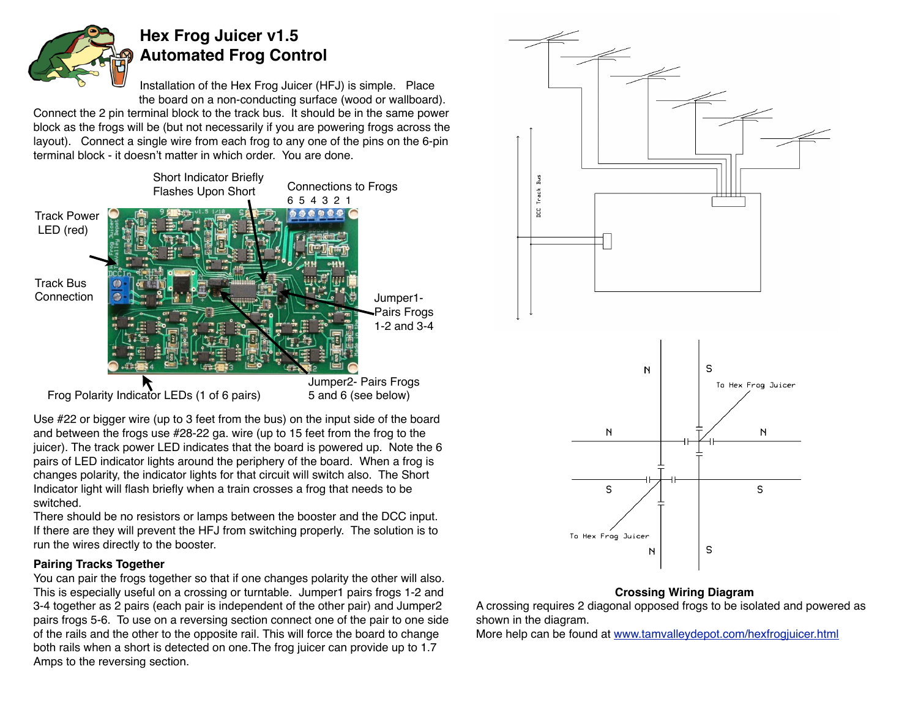

# **Hex Frog Juicer v1.5 Automated Frog Control**

Installation of the Hex Frog Juicer (HFJ) is simple. Place the board on a non-conducting surface (wood or wallboard).

Connect the 2 pin terminal block to the track bus. It should be in the same power block as the frogs will be (but not necessarily if you are powering frogs across the layout). Connect a single wire from each frog to any one of the pins on the 6-pin terminal block - it doesn't matter in which order. You are done.



Use #22 or bigger wire (up to 3 feet from the bus) on the input side of the board and between the frogs use #28-22 ga. wire (up to 15 feet from the frog to the juicer). The track power LED indicates that the board is powered up. Note the 6 pairs of LED indicator lights around the periphery of the board. When a frog is changes polarity, the indicator lights for that circuit will switch also. The Short Indicator light will flash briefly when a train crosses a frog that needs to be switched.

There should be no resistors or lamps between the booster and the DCC input. If there are they will prevent the HFJ from switching properly. The solution is to run the wires directly to the booster.

## **Pairing Tracks Together**

You can pair the frogs together so that if one changes polarity the other will also. This is especially useful on a crossing or turntable. Jumper1 pairs frogs 1-2 and 3-4 together as 2 pairs (each pair is independent of the other pair) and Jumper2 pairs frogs 5-6. To use on a reversing section connect one of the pair to one side of the rails and the other to the opposite rail. This will force the board to change both rails when a short is detected on one.The frog juicer can provide up to 1.7 Amps to the reversing section.



#### **Crossing Wiring Diagram**

A crossing requires 2 diagonal opposed frogs to be isolated and powered as shown in the diagram.

More help can be found at [www.tamvalleydepot.com/hexfrogjuicer.html](http://www.tamvalleydepot.com/hexfrogjuicer.html)